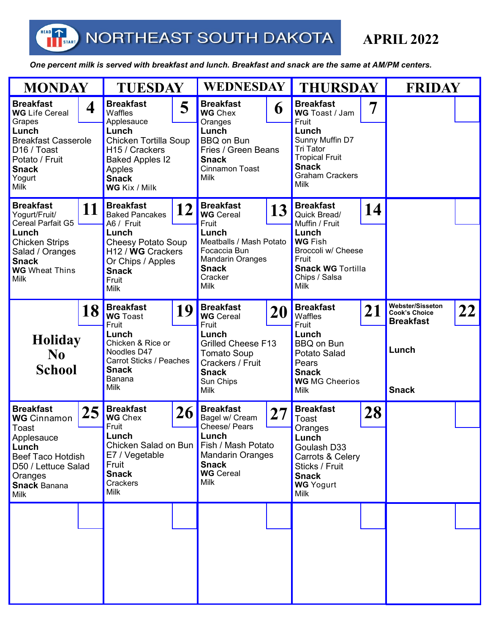HEAD

 *One percent milk is served with breakfast and lunch. Breakfast and snack are the same at AM/PM centers.* 

| <b>MONDAY</b>                                                                                                                                                                    |  | <b>TUESDAY</b>                                                                                                                                                                                                |  | <b>WEDNESDAY</b>                                                                                                                                                                |  | <b>THURSDAY</b>                                                                                                                                                                |  | <b>FRIDAY</b>                                                                               |  |
|----------------------------------------------------------------------------------------------------------------------------------------------------------------------------------|--|---------------------------------------------------------------------------------------------------------------------------------------------------------------------------------------------------------------|--|---------------------------------------------------------------------------------------------------------------------------------------------------------------------------------|--|--------------------------------------------------------------------------------------------------------------------------------------------------------------------------------|--|---------------------------------------------------------------------------------------------|--|
| <b>Breakfast</b><br>4<br><b>WG</b> Life Cereal<br>Grapes<br>Lunch<br><b>Breakfast Casserole</b><br>D <sub>16</sub> / Toast<br>Potato / Fruit<br><b>Snack</b><br>Yogurt<br>Milk   |  | <b>Breakfast</b><br>5<br>Waffles<br>Applesauce<br>Lunch<br>Chicken Tortilla Soup<br>H <sub>15</sub> / Crackers<br><b>Baked Apples I2</b><br>Apples<br><b>Snack</b><br>WG Kix / Milk                           |  | <b>Breakfast</b><br>6<br><b>WG</b> Chex<br>Oranges<br>Lunch<br><b>BBQ on Bun</b><br>Fries / Green Beans<br><b>Snack</b><br><b>Cinnamon Toast</b><br><b>Milk</b>                 |  | <b>Breakfast</b><br>WG Toast / Jam<br>Fruit<br>Lunch<br>Sunny Muffin D7<br><b>Tri Tator</b><br><b>Tropical Fruit</b><br><b>Snack</b><br><b>Graham Crackers</b><br>Milk         |  |                                                                                             |  |
| <b>Breakfast</b><br>11<br>Yogurt/Fruit/<br>Cereal Parfait G5<br>Lunch<br><b>Chicken Strips</b><br>Salad / Oranges<br><b>Snack</b><br><b>WG</b> Wheat Thins<br>Milk               |  | <b>Breakfast</b><br>12<br><b>Baked Pancakes</b><br>A6 / Fruit<br>Lunch<br><b>Cheesy Potato Soup</b><br>H <sub>12</sub> / W <sub>G</sub> Crackers<br>Or Chips / Apples<br><b>Snack</b><br>Fruit<br><b>Milk</b> |  | <b>Breakfast</b><br>13<br><b>WG</b> Cereal<br>Fruit<br>Lunch<br>Meatballs / Mash Potato<br>Focaccia Bun<br><b>Mandarin Oranges</b><br><b>Snack</b><br>Cracker<br><b>Milk</b>    |  | <b>Breakfast</b><br>14<br>Quick Bread/<br>Muffin / Fruit<br>Lunch<br><b>WG Fish</b><br>Broccoli w/ Cheese<br>Fruit<br><b>Snack WG Tortilla</b><br>Chips / Salsa<br><b>Milk</b> |  |                                                                                             |  |
| 18<br><b>Holiday</b><br>N <sub>0</sub><br><b>School</b>                                                                                                                          |  | <b>Breakfast</b><br>19<br><b>WG</b> Toast<br>Fruit<br>Lunch<br>Chicken & Rice or<br>Noodles D47<br>Carrot Sticks / Peaches<br><b>Snack</b><br>Banana<br><b>Milk</b>                                           |  | <b>Breakfast</b><br>20<br><b>WG</b> Cereal<br>Fruit<br>Lunch<br><b>Grilled Cheese F13</b><br><b>Tomato Soup</b><br>Crackers / Fruit<br><b>Snack</b><br>Sun Chips<br><b>Milk</b> |  | <b>Breakfast</b><br>21<br>Waffles<br>Fruit<br>Lunch<br><b>BBQ on Bun</b><br>Potato Salad<br>Pears<br><b>Snack</b><br><b>WG</b> MG Cheerios<br><b>Milk</b>                      |  | Webster/Sisseton<br>22<br><b>Cook's Choice</b><br><b>Breakfast</b><br>Lunch<br><b>Snack</b> |  |
| <b>Breakfast</b><br>25<br><b>WG</b> Cinnamon<br>Toast<br>Applesauce<br>Lunch<br><b>Beef Taco Hotdish</b><br>D50 / Lettuce Salad<br>Oranges<br><b>Snack Banana</b><br><b>Milk</b> |  | <b>Breakfast</b><br>26<br><b>WG</b> Chex<br>Fruit<br>Lunch<br>Chicken Salad on Bun<br>E7 / Vegetable<br>Fruit<br><b>Snack</b><br>Crackers<br><b>Milk</b>                                                      |  | <b>Breakfast</b><br>27<br>Bagel w/ Cream<br>Cheese/ Pears<br>Lunch<br>Fish / Mash Potato<br><b>Mandarin Oranges</b><br><b>Snack</b><br><b>WG</b> Cereal<br><b>Milk</b>          |  | <b>Breakfast</b><br>28<br>Toast<br>Oranges<br>Lunch<br>Goulash D33<br>Carrots & Celery<br>Sticks / Fruit<br><b>Snack</b><br><b>WG</b> Yogurt<br>Milk                           |  |                                                                                             |  |
|                                                                                                                                                                                  |  |                                                                                                                                                                                                               |  |                                                                                                                                                                                 |  |                                                                                                                                                                                |  |                                                                                             |  |